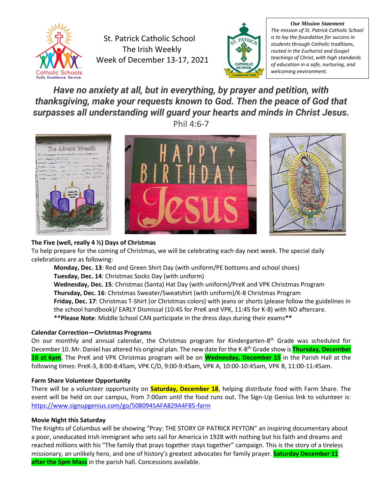

St. Patrick Catholic School The Irish Weekly Week of December 13-17, 2021



*Our Mission Statement The mission of St. Patrick Catholic School is to lay the foundation for success in students through Catholic traditions, rooted in the Eucharist and Gospel teachings of Christ, with high standards of education in a safe, nurturing, and welcoming environment.*

# *Have no anxiety at all, but in everything, by prayer and petition, with thanksgiving, make your requests known to God. Then the peace of God that surpasses all understanding will guard your hearts and minds in Christ Jesus.*

Phil 4:6-7



# **The Five (well, really 4 ½) Days of Christmas**

To help prepare for the coming of Christmas, we will be celebrating each day next week. The special daily celebrations are as following:

**Monday, Dec. 13**: Red and Green Shirt Day (with uniform/PE bottoms and school shoes) **Tuesday, Dec. 14**: Christmas Socks Day (with uniform) **Wednesday, Dec. 15**: Christmas (Santa) Hat Day (with uniform)/PreK and VPK Christmas Program **Thursday, Dec. 16**: Christmas Sweater/Sweatshirt (with uniform)/K-8 Christmas Program **Friday, Dec. 17**: Christmas T-Shirt (or Christmas colors) with jeans or shorts (please follow the guidelines in the school handbook)/ EARLY Dismissal (10:45 for PreK and VPK, 11:45 for K-8) with NO aftercare. **\*\*Please Note**: Middle School CAN participate in the dress days during their exams**\*\***

# **Calendar Correction—Christmas Programs**

On our monthly and annual calendar, the Christmas program for Kindergarten-8<sup>th</sup> Grade was scheduled for December 10. Mr. Daniel has altered his original plan. The new date for the K-8 th Grade show is **Thursday, December 16 at 6pm**. The PreK and VPK Christmas program will be on **Wednesday, December 15** in the Parish Hall at the following times: PreK-3, 8:00-8:45am, VPK C/D, 9:00-9:45am, VPK A, 10:00-10:45am, VPK B, 11:00-11:45am.

# **Farm Share Volunteer Opportunity**

There will be a volunteer opportunity on **Saturday, December 18**, helping distribute food with Farm Share. The event will be held on our campus, from 7:00am until the food runs out. The Sign-Up Genius link to volunteer is: <https://www.signupgenius.com/go/5080945AFA829A4F85-farm>

# **Movie Night this Saturday**

The Knights of Columbus will be showing "Pray: THE STORY OF PATRICK PEYTON" an inspiring documentary about a poor, uneducated Irish immigrant who sets sail for America in 1928 with nothing but his faith and dreams and reached millions with his "The family that prays together stays together" campaign. This is the story of a tireless missionary, an unlikely hero, and one of history's greatest advocates for family prayer. **Saturday December 11 after the 5pm Mass** in the parish hall. Concessions available.